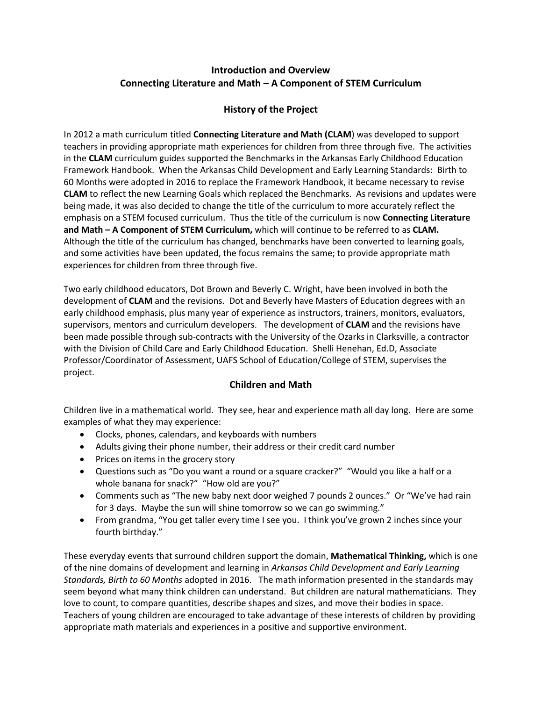# **Introduction and Overview Connecting Literature and Math – A Component of STEM Curriculum**

# **History of the Project**

In 2012 a math curriculum titled **Connecting Literature and Math (CLAM**) was developed to support teachers in providing appropriate math experiences for children from three through five. The activities in the **CLAM** curriculum guides supported the Benchmarks in the Arkansas Early Childhood Education Framework Handbook. When the Arkansas Child Development and Early Learning Standards: Birth to 60 Months were adopted in 2016 to replace the Framework Handbook, it became necessary to revise **CLAM** to reflect the new Learning Goals which replaced the Benchmarks. As revisions and updates were being made, it was also decided to change the title of the curriculum to more accurately reflect the emphasis on a STEM focused curriculum. Thus the title of the curriculum is now **Connecting Literature and Math – A Component of STEM Curriculum,** which will continue to be referred to as **CLAM.**  Although the title of the curriculum has changed, benchmarks have been converted to learning goals, and some activities have been updated, the focus remains the same; to provide appropriate math experiences for children from three through five.

Two early childhood educators, Dot Brown and Beverly C. Wright, have been involved in both the development of **CLAM** and the revisions. Dot and Beverly have Masters of Education degrees with an early childhood emphasis, plus many year of experience as instructors, trainers, monitors, evaluators, supervisors, mentors and curriculum developers. The development of **CLAM** and the revisions have been made possible through sub-contracts with the University of the Ozarks in Clarksville, a contractor with the Division of Child Care and Early Childhood Education. Shelli Henehan, Ed.D, Associate Professor/Coordinator of Assessment, UAFS School of Education/College of STEM, supervises the project.

## **Children and Math**

Children live in a mathematical world. They see, hear and experience math all day long. Here are some examples of what they may experience:

- Clocks, phones, calendars, and keyboards with numbers
- Adults giving their phone number, their address or their credit card number
- Prices on items in the grocery story
- Questions such as "Do you want a round or a square cracker?" "Would you like a half or a whole banana for snack?" "How old are you?"
- Comments such as "The new baby next door weighed 7 pounds 2 ounces." Or "We've had rain for 3 days. Maybe the sun will shine tomorrow so we can go swimming."
- From grandma, "You get taller every time I see you. I think you've grown 2 inches since your fourth birthday."

These everyday events that surround children support the domain, **Mathematical Thinking,** which is one of the nine domains of development and learning in *Arkansas Child Development and Early Learning Standards, Birth to 60 Months* adopted in 2016. The math information presented in the standards may seem beyond what many think children can understand. But children are natural mathematicians. They love to count, to compare quantities, describe shapes and sizes, and move their bodies in space. Teachers of young children are encouraged to take advantage of these interests of children by providing appropriate math materials and experiences in a positive and supportive environment.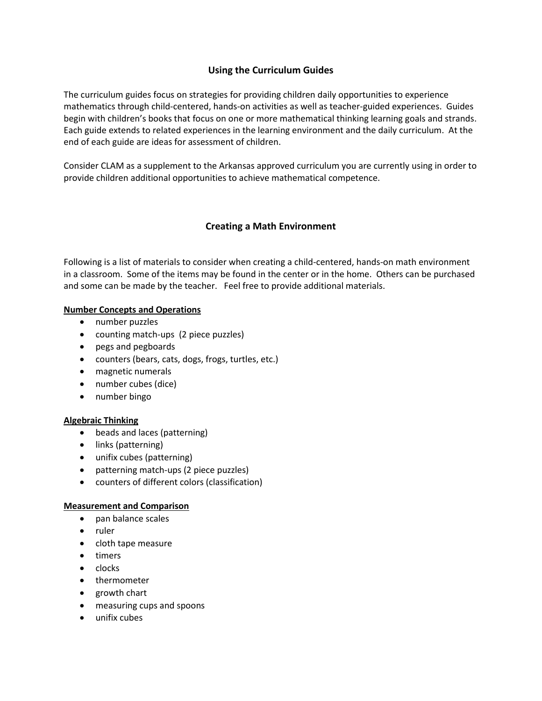## **Using the Curriculum Guides**

The curriculum guides focus on strategies for providing children daily opportunities to experience mathematics through child-centered, hands-on activities as well as teacher-guided experiences. Guides begin with children's books that focus on one or more mathematical thinking learning goals and strands. Each guide extends to related experiences in the learning environment and the daily curriculum. At the end of each guide are ideas for assessment of children.

Consider CLAM as a supplement to the Arkansas approved curriculum you are currently using in order to provide children additional opportunities to achieve mathematical competence.

# **Creating a Math Environment**

Following is a list of materials to consider when creating a child-centered, hands-on math environment in a classroom. Some of the items may be found in the center or in the home. Others can be purchased and some can be made by the teacher. Feel free to provide additional materials.

### **Number Concepts and Operations**

- number puzzles
- counting match-ups (2 piece puzzles)
- pegs and pegboards
- counters (bears, cats, dogs, frogs, turtles, etc.)
- magnetic numerals
- number cubes (dice)
- number bingo

### **Algebraic Thinking**

- beads and laces (patterning)
- links (patterning)
- unifix cubes (patterning)
- patterning match-ups (2 piece puzzles)
- counters of different colors (classification)

### **Measurement and Comparison**

- pan balance scales
- ruler
- cloth tape measure
- timers
- $\bullet$  clocks
- thermometer
- growth chart
- measuring cups and spoons
- unifix cubes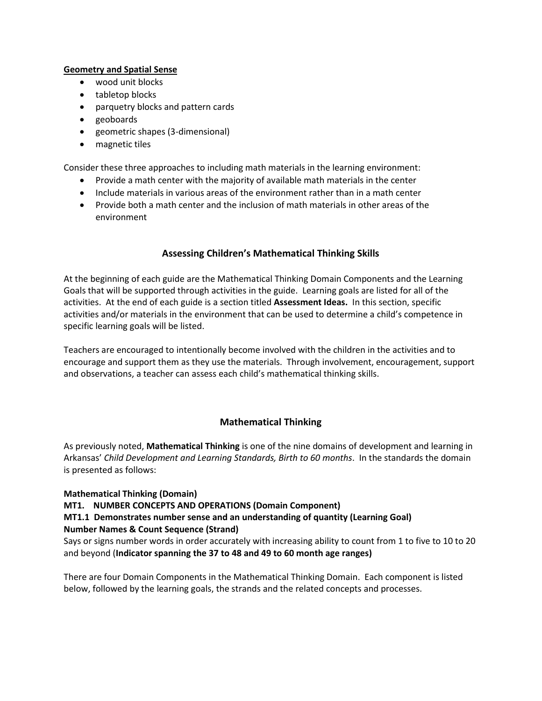### **Geometry and Spatial Sense**

- wood unit blocks
- tabletop blocks
- parquetry blocks and pattern cards
- geoboards
- geometric shapes (3-dimensional)
- magnetic tiles

Consider these three approaches to including math materials in the learning environment:

- Provide a math center with the majority of available math materials in the center
- Include materials in various areas of the environment rather than in a math center
- Provide both a math center and the inclusion of math materials in other areas of the environment

## **Assessing Children's Mathematical Thinking Skills**

At the beginning of each guide are the Mathematical Thinking Domain Components and the Learning Goals that will be supported through activities in the guide. Learning goals are listed for all of the activities. At the end of each guide is a section titled **Assessment Ideas.** In this section, specific activities and/or materials in the environment that can be used to determine a child's competence in specific learning goals will be listed.

Teachers are encouraged to intentionally become involved with the children in the activities and to encourage and support them as they use the materials. Through involvement, encouragement, support and observations, a teacher can assess each child's mathematical thinking skills.

## **Mathematical Thinking**

As previously noted, **Mathematical Thinking** is one of the nine domains of development and learning in Arkansas' *Child Development and Learning Standards, Birth to 60 months*. In the standards the domain is presented as follows:

**Mathematical Thinking (Domain) MT1. NUMBER CONCEPTS AND OPERATIONS (Domain Component) MT1.1 Demonstrates number sense and an understanding of quantity (Learning Goal) Number Names & Count Sequence (Strand)**

Says or signs number words in order accurately with increasing ability to count from 1 to five to 10 to 20 and beyond (**Indicator spanning the 37 to 48 and 49 to 60 month age ranges)**

There are four Domain Components in the Mathematical Thinking Domain. Each component is listed below, followed by the learning goals, the strands and the related concepts and processes.